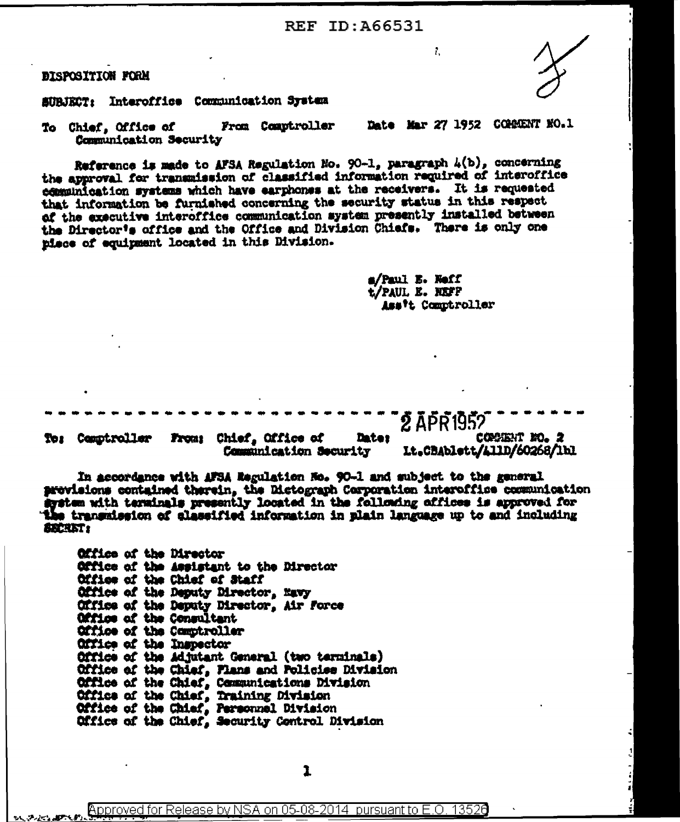**REF ID: A66531** 

**DISPOSITION FORM** 

SUBJECT: Interoffice Communication System

Date Mar 27 1952 COMMENT NO.1 From Comptroller To Chief, Office of Communication Security

Reference is made to AFSA Regulation No. 90-1, paragraph  $4(b)$ , concerning the approval for transmission of classified information required of interoffice communication systems which have earphones at the receivers. It is requested that information be furnished concerning the security status in this respect of the executive interoffice communication system presently installed between the Director's office and the Office and Division Chiefs. There is only one piece of equipment located in this Division.

> a/Paul E. Neff t/Paul E. NEFF Ass't Comptroller

> > COMMENT NO. 2

î.

2 APR 1957 From: Chief, Office of **Dates** To: Comptroller Lt.CBAblett/L11D/60268/1bl Communication Security

In accordance with AFSA Regulation No. 90-1 and subject to the general provisions contained therein, the Dictograph Corporation interoffice communication system with terminals presently located in the following offices is approved for e transmission of classified information in plain language up to and including **SECRET:** 

| Office of the Director  |                                                  |
|-------------------------|--------------------------------------------------|
|                         | Office of the Assistant to the Director          |
|                         | Office of the Chief of Staff                     |
|                         | Office of the Deputy Director, Mavy              |
|                         | Office of the Deputy Director, Air Force         |
|                         | Office of the Consultant                         |
|                         | Office of the Comptroller                        |
| Office of the Inspector |                                                  |
|                         | Office of the Adjutant General (two terminals)   |
|                         | Office of the Chief, Plans and Policies Division |
|                         | Office of the Chief, Communications Division     |
|                         | Office of the Chief, Training Division           |
|                         | Office of the Chief, Personnel Division          |
|                         | Office of the Chief, Security Control Division   |

Approved for Release by NSA on 05-08-2014 pursuant to E.O. 13526